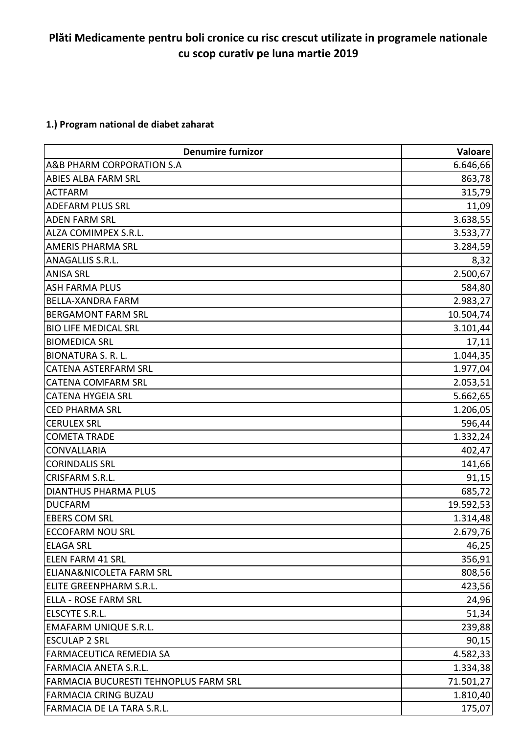# **Plăti Medicamente pentru boli cronice cu risc crescut utilizate in programele nationale cu scop curativ pe luna martie 2019**

## **1.) Program national de diabet zaharat**

| <b>Denumire furnizor</b>              | Valoare   |
|---------------------------------------|-----------|
| A&B PHARM CORPORATION S.A             | 6.646,66  |
| <b>ABIES ALBA FARM SRL</b>            | 863,78    |
| <b>ACTFARM</b>                        | 315,79    |
| <b>ADEFARM PLUS SRL</b>               | 11,09     |
| <b>ADEN FARM SRL</b>                  | 3.638,55  |
| ALZA COMIMPEX S.R.L.                  | 3.533,77  |
| <b>AMERIS PHARMA SRL</b>              | 3.284,59  |
| ANAGALLIS S.R.L.                      | 8,32      |
| <b>ANISA SRL</b>                      | 2.500,67  |
| <b>ASH FARMA PLUS</b>                 | 584,80    |
| <b>BELLA-XANDRA FARM</b>              | 2.983,27  |
| <b>BERGAMONT FARM SRL</b>             | 10.504,74 |
| <b>BIO LIFE MEDICAL SRL</b>           | 3.101,44  |
| <b>BIOMEDICA SRL</b>                  | 17,11     |
| <b>BIONATURA S. R. L.</b>             | 1.044,35  |
| <b>CATENA ASTERFARM SRL</b>           | 1.977,04  |
| <b>CATENA COMFARM SRL</b>             | 2.053,51  |
| <b>CATENA HYGEIA SRL</b>              | 5.662,65  |
| <b>CED PHARMA SRL</b>                 | 1.206,05  |
| <b>CERULEX SRL</b>                    | 596,44    |
| <b>COMETA TRADE</b>                   | 1.332,24  |
| <b>CONVALLARIA</b>                    | 402,47    |
| <b>CORINDALIS SRL</b>                 | 141,66    |
| CRISFARM S.R.L.                       | 91,15     |
| <b>DIANTHUS PHARMA PLUS</b>           | 685,72    |
| <b>DUCFARM</b>                        | 19.592,53 |
| <b>EBERS COM SRL</b>                  | 1.314,48  |
| <b>ECCOFARM NOU SRL</b>               | 2.679,76  |
| <b>ELAGA SRL</b>                      | 46,25     |
| <b>ELEN FARM 41 SRL</b>               | 356,91    |
| ELIANA&NICOLETA FARM SRL              | 808,56    |
| <b>ELITE GREENPHARM S.R.L.</b>        | 423,56    |
| <b>ELLA - ROSE FARM SRL</b>           | 24,96     |
| ELSCYTE S.R.L.                        | 51,34     |
| <b>EMAFARM UNIQUE S.R.L.</b>          | 239,88    |
| <b>ESCULAP 2 SRL</b>                  | 90,15     |
| FARMACEUTICA REMEDIA SA               | 4.582,33  |
| <b>FARMACIA ANETA S.R.L.</b>          | 1.334,38  |
| FARMACIA BUCURESTI TEHNOPLUS FARM SRL | 71.501,27 |
| <b>FARMACIA CRING BUZAU</b>           | 1.810,40  |
| FARMACIA DE LA TARA S.R.L.            | 175,07    |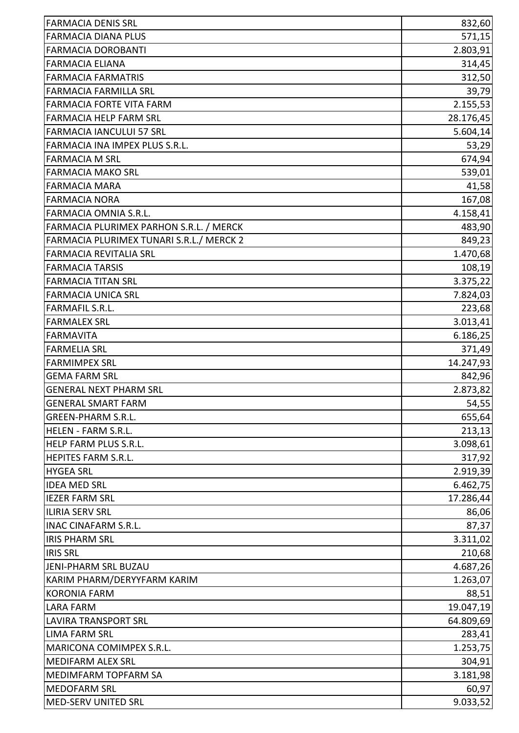| <b>FARMACIA DENIS SRL</b>                | 832,60    |
|------------------------------------------|-----------|
| <b>FARMACIA DIANA PLUS</b>               | 571,15    |
| <b>FARMACIA DOROBANTI</b>                | 2.803,91  |
| <b>FARMACIA ELIANA</b>                   | 314,45    |
| <b>FARMACIA FARMATRIS</b>                | 312,50    |
| <b>FARMACIA FARMILLA SRL</b>             | 39,79     |
| FARMACIA FORTE VITA FARM                 | 2.155,53  |
| <b>FARMACIA HELP FARM SRL</b>            | 28.176,45 |
| <b>FARMACIA IANCULUI 57 SRL</b>          | 5.604, 14 |
| FARMACIA INA IMPEX PLUS S.R.L.           | 53,29     |
| <b>FARMACIA M SRL</b>                    | 674,94    |
| <b>FARMACIA MAKO SRL</b>                 | 539,01    |
| <b>FARMACIA MARA</b>                     | 41,58     |
| <b>FARMACIA NORA</b>                     | 167,08    |
| FARMACIA OMNIA S.R.L.                    | 4.158,41  |
| FARMACIA PLURIMEX PARHON S.R.L. / MERCK  | 483,90    |
| FARMACIA PLURIMEX TUNARI S.R.L./ MERCK 2 | 849,23    |
| <b>FARMACIA REVITALIA SRL</b>            | 1.470,68  |
| <b>FARMACIA TARSIS</b>                   | 108,19    |
| <b>FARMACIA TITAN SRL</b>                | 3.375,22  |
| <b>FARMACIA UNICA SRL</b>                | 7.824,03  |
| <b>FARMAFIL S.R.L.</b>                   | 223,68    |
| <b>FARMALEX SRL</b>                      | 3.013,41  |
| <b>FARMAVITA</b>                         | 6.186,25  |
| <b>FARMELIA SRL</b>                      | 371,49    |
| <b>FARMIMPEX SRL</b>                     | 14.247,93 |
| <b>GEMA FARM SRL</b>                     | 842,96    |
| <b>GENERAL NEXT PHARM SRL</b>            | 2.873,82  |
| <b>GENERAL SMART FARM</b>                | 54,55     |
| <b>GREEN-PHARM S.R.L.</b>                | 655,64    |
| HELEN - FARM S.R.L.                      | 213,13    |
| HELP FARM PLUS S.R.L.                    | 3.098,61  |
| HEPITES FARM S.R.L.                      | 317,92    |
| <b>HYGEA SRL</b>                         | 2.919,39  |
| <b>IDEA MED SRL</b>                      | 6.462,75  |
| <b>IEZER FARM SRL</b>                    | 17.286,44 |
| <b>ILIRIA SERV SRL</b>                   | 86,06     |
| <b>INAC CINAFARM S.R.L.</b>              | 87,37     |
| <b>IRIS PHARM SRL</b>                    | 3.311,02  |
| <b>IRIS SRL</b>                          | 210,68    |
| JENI-PHARM SRL BUZAU                     | 4.687,26  |
| KARIM PHARM/DERYYFARM KARIM              | 1.263,07  |
| <b>KORONIA FARM</b>                      | 88,51     |
| <b>LARA FARM</b>                         | 19.047,19 |
| <b>LAVIRA TRANSPORT SRL</b>              | 64.809,69 |
| <b>LIMA FARM SRL</b>                     | 283,41    |
| MARICONA COMIMPEX S.R.L.                 | 1.253,75  |
| <b>MEDIFARM ALEX SRL</b>                 | 304,91    |
| MEDIMFARM TOPFARM SA                     | 3.181,98  |
| <b>MEDOFARM SRL</b>                      | 60,97     |
| <b>MED-SERV UNITED SRL</b>               | 9.033,52  |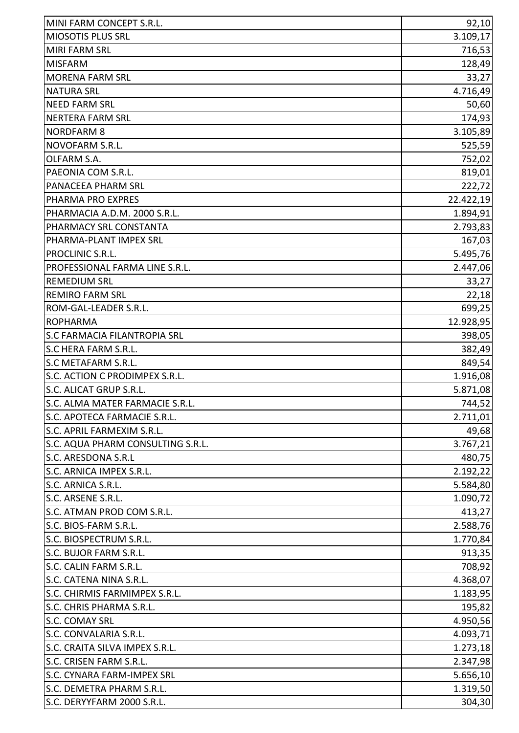| <b>MIOSOTIS PLUS SRL</b><br>3.109,17<br><b>MIRI FARM SRL</b><br>716,53<br><b>MISFARM</b><br>128,49<br>33,27<br><b>MORENA FARM SRL</b><br><b>NATURA SRL</b><br><b>NEED FARM SRL</b><br><b>NERTERA FARM SRL</b><br><b>NORDFARM 8</b><br>NOVOFARM S.R.L.<br>OLFARM S.A.<br>PAEONIA COM S.R.L.<br>PANACEEA PHARM SRL<br>PHARMA PRO EXPRES<br>PHARMACIA A.D.M. 2000 S.R.L.<br>PHARMACY SRL CONSTANTA<br>PHARMA-PLANT IMPEX SRL<br>PROCLINIC S.R.L.<br>PROFESSIONAL FARMA LINE S.R.L.<br><b>REMEDIUM SRL</b><br><b>REMIRO FARM SRL</b><br>ROM-GAL-LEADER S.R.L.<br><b>ROPHARMA</b><br>S.C FARMACIA FILANTROPIA SRL<br>S.C HERA FARM S.R.L.<br>S.C METAFARM S.R.L.<br>S.C. ACTION C PRODIMPEX S.R.L.<br>S.C. ALICAT GRUP S.R.L.<br>S.C. ALMA MATER FARMACIE S.R.L.<br>S.C. APOTECA FARMACIE S.R.L.<br>S.C. APRIL FARMEXIM S.R.L.<br>S.C. AQUA PHARM CONSULTING S.R.L.<br>S.C. ARESDONA S.R.L<br>S.C. ARNICA IMPEX S.R.L.<br>S.C. ARNICA S.R.L.<br>S.C. ARSENE S.R.L.<br>S.C. ATMAN PROD COM S.R.L.<br>S.C. BIOS-FARM S.R.L.<br>S.C. BIOSPECTRUM S.R.L.<br>S.C. BUJOR FARM S.R.L.<br>S.C. CALIN FARM S.R.L.<br>S.C. CATENA NINA S.R.L.<br>S.C. CHIRMIS FARMIMPEX S.R.L.<br>S.C. CHRIS PHARMA S.R.L.<br>S.C. COMAY SRL<br>S.C. CONVALARIA S.R.L.<br>S.C. CRAITA SILVA IMPEX S.R.L.<br>S.C. CRISEN FARM S.R.L.<br>S.C. CYNARA FARM-IMPEX SRL<br>S.C. DEMETRA PHARM S.R.L.<br>S.C. DERYYFARM 2000 S.R.L. | MINI FARM CONCEPT S.R.L. | 92,10    |
|-----------------------------------------------------------------------------------------------------------------------------------------------------------------------------------------------------------------------------------------------------------------------------------------------------------------------------------------------------------------------------------------------------------------------------------------------------------------------------------------------------------------------------------------------------------------------------------------------------------------------------------------------------------------------------------------------------------------------------------------------------------------------------------------------------------------------------------------------------------------------------------------------------------------------------------------------------------------------------------------------------------------------------------------------------------------------------------------------------------------------------------------------------------------------------------------------------------------------------------------------------------------------------------------------------------------------------------------------------------------------------------------------|--------------------------|----------|
|                                                                                                                                                                                                                                                                                                                                                                                                                                                                                                                                                                                                                                                                                                                                                                                                                                                                                                                                                                                                                                                                                                                                                                                                                                                                                                                                                                                               |                          |          |
|                                                                                                                                                                                                                                                                                                                                                                                                                                                                                                                                                                                                                                                                                                                                                                                                                                                                                                                                                                                                                                                                                                                                                                                                                                                                                                                                                                                               |                          |          |
|                                                                                                                                                                                                                                                                                                                                                                                                                                                                                                                                                                                                                                                                                                                                                                                                                                                                                                                                                                                                                                                                                                                                                                                                                                                                                                                                                                                               |                          |          |
|                                                                                                                                                                                                                                                                                                                                                                                                                                                                                                                                                                                                                                                                                                                                                                                                                                                                                                                                                                                                                                                                                                                                                                                                                                                                                                                                                                                               |                          |          |
| 50,60<br>174,93<br>3.105,89<br>525,59                                                                                                                                                                                                                                                                                                                                                                                                                                                                                                                                                                                                                                                                                                                                                                                                                                                                                                                                                                                                                                                                                                                                                                                                                                                                                                                                                         |                          | 4.716,49 |
|                                                                                                                                                                                                                                                                                                                                                                                                                                                                                                                                                                                                                                                                                                                                                                                                                                                                                                                                                                                                                                                                                                                                                                                                                                                                                                                                                                                               |                          |          |
|                                                                                                                                                                                                                                                                                                                                                                                                                                                                                                                                                                                                                                                                                                                                                                                                                                                                                                                                                                                                                                                                                                                                                                                                                                                                                                                                                                                               |                          |          |
|                                                                                                                                                                                                                                                                                                                                                                                                                                                                                                                                                                                                                                                                                                                                                                                                                                                                                                                                                                                                                                                                                                                                                                                                                                                                                                                                                                                               |                          |          |
| 752,02<br>819,01<br>222,72                                                                                                                                                                                                                                                                                                                                                                                                                                                                                                                                                                                                                                                                                                                                                                                                                                                                                                                                                                                                                                                                                                                                                                                                                                                                                                                                                                    |                          |          |
|                                                                                                                                                                                                                                                                                                                                                                                                                                                                                                                                                                                                                                                                                                                                                                                                                                                                                                                                                                                                                                                                                                                                                                                                                                                                                                                                                                                               |                          |          |
|                                                                                                                                                                                                                                                                                                                                                                                                                                                                                                                                                                                                                                                                                                                                                                                                                                                                                                                                                                                                                                                                                                                                                                                                                                                                                                                                                                                               |                          |          |
| 22.422,19<br>1.894,91<br>2.793,83<br>167,03<br>5.495,76<br>2.447,06<br>33,27<br>22,18<br>699,25<br>12.928,95<br>398,05<br>382,49<br>849,54<br>1.916,08<br>5.871,08<br>744,52<br>2.711,01<br>49,68<br>3.767,21<br>480,75<br>2.192,22<br>5.584,80<br>1.090,72                                                                                                                                                                                                                                                                                                                                                                                                                                                                                                                                                                                                                                                                                                                                                                                                                                                                                                                                                                                                                                                                                                                                   |                          |          |
|                                                                                                                                                                                                                                                                                                                                                                                                                                                                                                                                                                                                                                                                                                                                                                                                                                                                                                                                                                                                                                                                                                                                                                                                                                                                                                                                                                                               |                          |          |
|                                                                                                                                                                                                                                                                                                                                                                                                                                                                                                                                                                                                                                                                                                                                                                                                                                                                                                                                                                                                                                                                                                                                                                                                                                                                                                                                                                                               |                          |          |
|                                                                                                                                                                                                                                                                                                                                                                                                                                                                                                                                                                                                                                                                                                                                                                                                                                                                                                                                                                                                                                                                                                                                                                                                                                                                                                                                                                                               |                          |          |
|                                                                                                                                                                                                                                                                                                                                                                                                                                                                                                                                                                                                                                                                                                                                                                                                                                                                                                                                                                                                                                                                                                                                                                                                                                                                                                                                                                                               |                          |          |
|                                                                                                                                                                                                                                                                                                                                                                                                                                                                                                                                                                                                                                                                                                                                                                                                                                                                                                                                                                                                                                                                                                                                                                                                                                                                                                                                                                                               |                          |          |
|                                                                                                                                                                                                                                                                                                                                                                                                                                                                                                                                                                                                                                                                                                                                                                                                                                                                                                                                                                                                                                                                                                                                                                                                                                                                                                                                                                                               |                          |          |
|                                                                                                                                                                                                                                                                                                                                                                                                                                                                                                                                                                                                                                                                                                                                                                                                                                                                                                                                                                                                                                                                                                                                                                                                                                                                                                                                                                                               |                          |          |
|                                                                                                                                                                                                                                                                                                                                                                                                                                                                                                                                                                                                                                                                                                                                                                                                                                                                                                                                                                                                                                                                                                                                                                                                                                                                                                                                                                                               |                          |          |
|                                                                                                                                                                                                                                                                                                                                                                                                                                                                                                                                                                                                                                                                                                                                                                                                                                                                                                                                                                                                                                                                                                                                                                                                                                                                                                                                                                                               |                          |          |
|                                                                                                                                                                                                                                                                                                                                                                                                                                                                                                                                                                                                                                                                                                                                                                                                                                                                                                                                                                                                                                                                                                                                                                                                                                                                                                                                                                                               |                          |          |
|                                                                                                                                                                                                                                                                                                                                                                                                                                                                                                                                                                                                                                                                                                                                                                                                                                                                                                                                                                                                                                                                                                                                                                                                                                                                                                                                                                                               |                          |          |
|                                                                                                                                                                                                                                                                                                                                                                                                                                                                                                                                                                                                                                                                                                                                                                                                                                                                                                                                                                                                                                                                                                                                                                                                                                                                                                                                                                                               |                          |          |
|                                                                                                                                                                                                                                                                                                                                                                                                                                                                                                                                                                                                                                                                                                                                                                                                                                                                                                                                                                                                                                                                                                                                                                                                                                                                                                                                                                                               |                          |          |
|                                                                                                                                                                                                                                                                                                                                                                                                                                                                                                                                                                                                                                                                                                                                                                                                                                                                                                                                                                                                                                                                                                                                                                                                                                                                                                                                                                                               |                          |          |
|                                                                                                                                                                                                                                                                                                                                                                                                                                                                                                                                                                                                                                                                                                                                                                                                                                                                                                                                                                                                                                                                                                                                                                                                                                                                                                                                                                                               |                          |          |
|                                                                                                                                                                                                                                                                                                                                                                                                                                                                                                                                                                                                                                                                                                                                                                                                                                                                                                                                                                                                                                                                                                                                                                                                                                                                                                                                                                                               |                          |          |
|                                                                                                                                                                                                                                                                                                                                                                                                                                                                                                                                                                                                                                                                                                                                                                                                                                                                                                                                                                                                                                                                                                                                                                                                                                                                                                                                                                                               |                          |          |
|                                                                                                                                                                                                                                                                                                                                                                                                                                                                                                                                                                                                                                                                                                                                                                                                                                                                                                                                                                                                                                                                                                                                                                                                                                                                                                                                                                                               |                          |          |
|                                                                                                                                                                                                                                                                                                                                                                                                                                                                                                                                                                                                                                                                                                                                                                                                                                                                                                                                                                                                                                                                                                                                                                                                                                                                                                                                                                                               |                          |          |
|                                                                                                                                                                                                                                                                                                                                                                                                                                                                                                                                                                                                                                                                                                                                                                                                                                                                                                                                                                                                                                                                                                                                                                                                                                                                                                                                                                                               |                          |          |
|                                                                                                                                                                                                                                                                                                                                                                                                                                                                                                                                                                                                                                                                                                                                                                                                                                                                                                                                                                                                                                                                                                                                                                                                                                                                                                                                                                                               |                          |          |
|                                                                                                                                                                                                                                                                                                                                                                                                                                                                                                                                                                                                                                                                                                                                                                                                                                                                                                                                                                                                                                                                                                                                                                                                                                                                                                                                                                                               |                          |          |
|                                                                                                                                                                                                                                                                                                                                                                                                                                                                                                                                                                                                                                                                                                                                                                                                                                                                                                                                                                                                                                                                                                                                                                                                                                                                                                                                                                                               |                          |          |
| 2.588,76<br>1.770,84<br>913,35<br>708,92<br>4.368,07<br>1.183,95<br>195,82<br>4.950,56<br>4.093,71<br>1.273,18<br>2.347,98<br>5.656,10<br>1.319,50<br>304,30                                                                                                                                                                                                                                                                                                                                                                                                                                                                                                                                                                                                                                                                                                                                                                                                                                                                                                                                                                                                                                                                                                                                                                                                                                  |                          | 413,27   |
|                                                                                                                                                                                                                                                                                                                                                                                                                                                                                                                                                                                                                                                                                                                                                                                                                                                                                                                                                                                                                                                                                                                                                                                                                                                                                                                                                                                               |                          |          |
|                                                                                                                                                                                                                                                                                                                                                                                                                                                                                                                                                                                                                                                                                                                                                                                                                                                                                                                                                                                                                                                                                                                                                                                                                                                                                                                                                                                               |                          |          |
|                                                                                                                                                                                                                                                                                                                                                                                                                                                                                                                                                                                                                                                                                                                                                                                                                                                                                                                                                                                                                                                                                                                                                                                                                                                                                                                                                                                               |                          |          |
|                                                                                                                                                                                                                                                                                                                                                                                                                                                                                                                                                                                                                                                                                                                                                                                                                                                                                                                                                                                                                                                                                                                                                                                                                                                                                                                                                                                               |                          |          |
|                                                                                                                                                                                                                                                                                                                                                                                                                                                                                                                                                                                                                                                                                                                                                                                                                                                                                                                                                                                                                                                                                                                                                                                                                                                                                                                                                                                               |                          |          |
|                                                                                                                                                                                                                                                                                                                                                                                                                                                                                                                                                                                                                                                                                                                                                                                                                                                                                                                                                                                                                                                                                                                                                                                                                                                                                                                                                                                               |                          |          |
|                                                                                                                                                                                                                                                                                                                                                                                                                                                                                                                                                                                                                                                                                                                                                                                                                                                                                                                                                                                                                                                                                                                                                                                                                                                                                                                                                                                               |                          |          |
|                                                                                                                                                                                                                                                                                                                                                                                                                                                                                                                                                                                                                                                                                                                                                                                                                                                                                                                                                                                                                                                                                                                                                                                                                                                                                                                                                                                               |                          |          |
|                                                                                                                                                                                                                                                                                                                                                                                                                                                                                                                                                                                                                                                                                                                                                                                                                                                                                                                                                                                                                                                                                                                                                                                                                                                                                                                                                                                               |                          |          |
|                                                                                                                                                                                                                                                                                                                                                                                                                                                                                                                                                                                                                                                                                                                                                                                                                                                                                                                                                                                                                                                                                                                                                                                                                                                                                                                                                                                               |                          |          |
|                                                                                                                                                                                                                                                                                                                                                                                                                                                                                                                                                                                                                                                                                                                                                                                                                                                                                                                                                                                                                                                                                                                                                                                                                                                                                                                                                                                               |                          |          |
|                                                                                                                                                                                                                                                                                                                                                                                                                                                                                                                                                                                                                                                                                                                                                                                                                                                                                                                                                                                                                                                                                                                                                                                                                                                                                                                                                                                               |                          |          |
|                                                                                                                                                                                                                                                                                                                                                                                                                                                                                                                                                                                                                                                                                                                                                                                                                                                                                                                                                                                                                                                                                                                                                                                                                                                                                                                                                                                               |                          |          |
|                                                                                                                                                                                                                                                                                                                                                                                                                                                                                                                                                                                                                                                                                                                                                                                                                                                                                                                                                                                                                                                                                                                                                                                                                                                                                                                                                                                               |                          |          |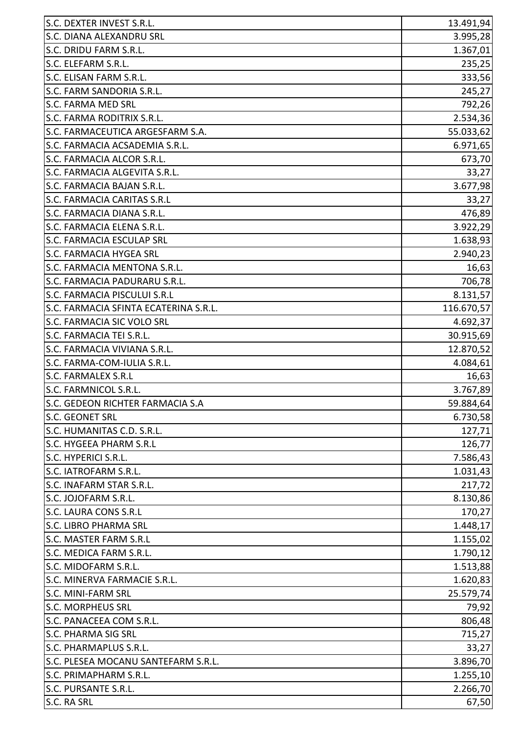| S.C. DEXTER INVEST S.R.L.             | 13.491,94  |
|---------------------------------------|------------|
| S.C. DIANA ALEXANDRU SRL              | 3.995,28   |
| S.C. DRIDU FARM S.R.L.                | 1.367,01   |
| S.C. ELEFARM S.R.L.                   | 235,25     |
| S.C. ELISAN FARM S.R.L.               | 333,56     |
| S.C. FARM SANDORIA S.R.L.             | 245,27     |
| S.C. FARMA MED SRL                    | 792,26     |
| S.C. FARMA RODITRIX S.R.L.            | 2.534,36   |
| S.C. FARMACEUTICA ARGESFARM S.A.      | 55.033,62  |
| S.C. FARMACIA ACSADEMIA S.R.L.        | 6.971,65   |
| S.C. FARMACIA ALCOR S.R.L.            | 673,70     |
| S.C. FARMACIA ALGEVITA S.R.L.         | 33,27      |
| S.C. FARMACIA BAJAN S.R.L.            | 3.677,98   |
| <b>S.C. FARMACIA CARITAS S.R.L</b>    | 33,27      |
| S.C. FARMACIA DIANA S.R.L.            | 476,89     |
| S.C. FARMACIA ELENA S.R.L.            | 3.922,29   |
| S.C. FARMACIA ESCULAP SRL             | 1.638,93   |
| S.C. FARMACIA HYGEA SRL               | 2.940,23   |
| S.C. FARMACIA MENTONA S.R.L.          | 16,63      |
| S.C. FARMACIA PADURARU S.R.L.         | 706,78     |
| S.C. FARMACIA PISCULUI S.R.L          | 8.131,57   |
| S.C. FARMACIA SFINTA ECATERINA S.R.L. | 116.670,57 |
| S.C. FARMACIA SIC VOLO SRL            | 4.692,37   |
| S.C. FARMACIA TEI S.R.L.              | 30.915,69  |
| S.C. FARMACIA VIVIANA S.R.L.          | 12.870,52  |
| S.C. FARMA-COM-IULIA S.R.L.           | 4.084,61   |
| S.C. FARMALEX S.R.L                   | 16,63      |
| S.C. FARMNICOL S.R.L.                 | 3.767,89   |
| S.C. GEDEON RICHTER FARMACIA S.A      | 59.884,64  |
| <b>S.C. GEONET SRL</b>                | 6.730,58   |
| S.C. HUMANITAS C.D. S.R.L.            | 127,71     |
| S.C. HYGEEA PHARM S.R.L               | 126,77     |
| S.C. HYPERICI S.R.L.                  | 7.586,43   |
| S.C. IATROFARM S.R.L.                 | 1.031,43   |
| S.C. INAFARM STAR S.R.L.              | 217,72     |
| S.C. JOJOFARM S.R.L.                  | 8.130,86   |
| S.C. LAURA CONS S.R.L                 | 170,27     |
| <b>S.C. LIBRO PHARMA SRL</b>          | 1.448,17   |
| S.C. MASTER FARM S.R.L                | 1.155,02   |
| S.C. MEDICA FARM S.R.L.               | 1.790,12   |
| S.C. MIDOFARM S.R.L.                  | 1.513,88   |
| S.C. MINERVA FARMACIE S.R.L.          | 1.620,83   |
| S.C. MINI-FARM SRL                    | 25.579,74  |
| <b>S.C. MORPHEUS SRL</b>              | 79,92      |
| S.C. PANACEEA COM S.R.L.              | 806,48     |
| <b>S.C. PHARMA SIG SRL</b>            | 715,27     |
| S.C. PHARMAPLUS S.R.L.                | 33,27      |
| S.C. PLESEA MOCANU SANTEFARM S.R.L.   | 3.896,70   |
| S.C. PRIMAPHARM S.R.L.                | 1.255,10   |
| S.C. PURSANTE S.R.L.                  | 2.266,70   |
| S.C. RA SRL                           | 67,50      |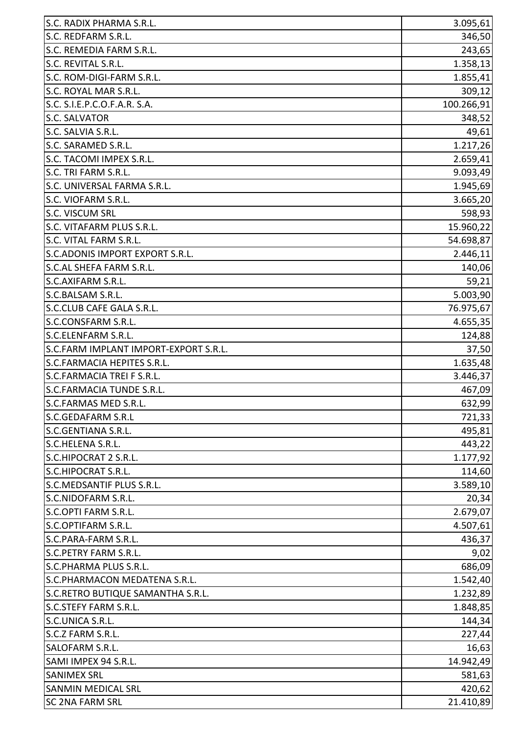| S.C. RADIX PHARMA S.R.L.              | 3.095,61   |
|---------------------------------------|------------|
| S.C. REDFARM S.R.L.                   | 346,50     |
| S.C. REMEDIA FARM S.R.L.              | 243,65     |
| S.C. REVITAL S.R.L.                   | 1.358,13   |
| S.C. ROM-DIGI-FARM S.R.L.             | 1.855,41   |
| S.C. ROYAL MAR S.R.L.                 | 309,12     |
| S.C. S.I.E.P.C.O.F.A.R. S.A.          | 100.266,91 |
| S.C. SALVATOR                         | 348,52     |
| S.C. SALVIA S.R.L.                    | 49,61      |
| S.C. SARAMED S.R.L.                   | 1.217,26   |
| S.C. TACOMI IMPEX S.R.L.              | 2.659,41   |
| S.C. TRI FARM S.R.L.                  | 9.093,49   |
| S.C. UNIVERSAL FARMA S.R.L.           | 1.945,69   |
| S.C. VIOFARM S.R.L.                   | 3.665,20   |
| ls.c. viscum srl                      | 598,93     |
| S.C. VITAFARM PLUS S.R.L.             | 15.960,22  |
| S.C. VITAL FARM S.R.L.                | 54.698,87  |
| S.C. ADONIS IMPORT EXPORT S.R.L.      | 2.446,11   |
| S.C.AL SHEFA FARM S.R.L.              | 140,06     |
| S.C.AXIFARM S.R.L.                    | 59,21      |
| S.C.BALSAM S.R.L.                     | 5.003,90   |
| S.C.CLUB CAFE GALA S.R.L.             | 76.975,67  |
| S.C.CONSFARM S.R.L.                   | 4.655,35   |
| S.C.ELENFARM S.R.L.                   | 124,88     |
| S.C.FARM IMPLANT IMPORT-EXPORT S.R.L. | 37,50      |
| S.C.FARMACIA HEPITES S.R.L.           | 1.635,48   |
| S.C.FARMACIA TREI F S.R.L.            | 3.446,37   |
| S.C.FARMACIA TUNDE S.R.L.             | 467,09     |
| S.C.FARMAS MED S.R.L.                 | 632,99     |
| S.C.GEDAFARM S.R.L                    | 721,33     |
| S.C.GENTIANA S.R.L.                   | 495,81     |
| S.C.HELENA S.R.L.                     | 443,22     |
| S.C.HIPOCRAT 2 S.R.L.                 | 1.177,92   |
| S.C.HIPOCRAT S.R.L.                   | 114,60     |
| <b>S.C.MEDSANTIF PLUS S.R.L.</b>      | 3.589,10   |
| S.C.NIDOFARM S.R.L.                   | 20,34      |
| S.C.OPTI FARM S.R.L.                  | 2.679,07   |
| S.C.OPTIFARM S.R.L.                   | 4.507,61   |
| S.C.PARA-FARM S.R.L.                  | 436,37     |
| <b>S.C.PETRY FARM S.R.L.</b>          | 9,02       |
| S.C.PHARMA PLUS S.R.L.                | 686,09     |
| S.C.PHARMACON MEDATENA S.R.L.         | 1.542,40   |
| S.C.RETRO BUTIQUE SAMANTHA S.R.L.     | 1.232,89   |
| <b>S.C.STEFY FARM S.R.L.</b>          | 1.848,85   |
| S.C.UNICA S.R.L.                      | 144,34     |
| S.C.Z FARM S.R.L.                     | 227,44     |
| <b>SALOFARM S.R.L.</b>                | 16,63      |
| SAMI IMPEX 94 S.R.L.                  | 14.942,49  |
| <b>SANIMEX SRL</b>                    | 581,63     |
| <b>SANMIN MEDICAL SRL</b>             | 420,62     |
| <b>SC 2NA FARM SRL</b>                | 21.410,89  |
|                                       |            |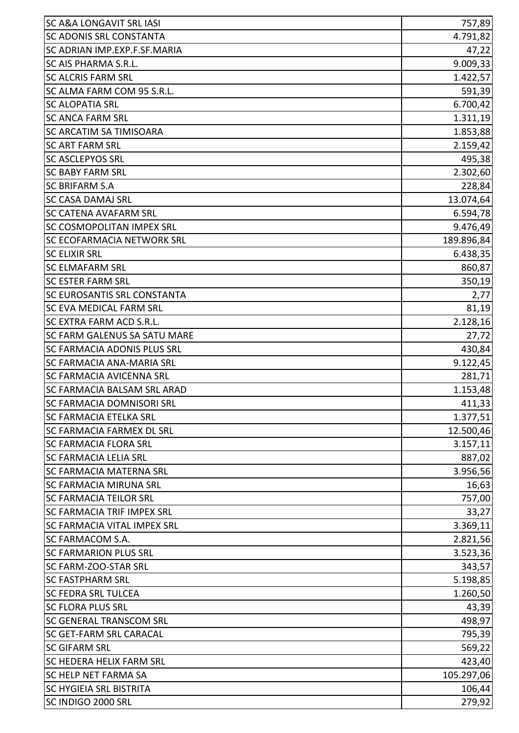| <b>SC A&amp;A LONGAVIT SRL IASI</b> | 757,89     |
|-------------------------------------|------------|
| <b>SC ADONIS SRL CONSTANTA</b>      | 4.791,82   |
| SC ADRIAN IMP.EXP.F.SF.MARIA        | 47,22      |
| <b>SC AIS PHARMA S.R.L.</b>         | 9.009,33   |
| <b>SC ALCRIS FARM SRL</b>           | 1.422,57   |
| SC ALMA FARM COM 95 S.R.L.          | 591,39     |
| <b>SC ALOPATIA SRL</b>              | 6.700,42   |
| <b>SC ANCA FARM SRL</b>             | 1.311,19   |
| SC ARCATIM SA TIMISOARA             | 1.853,88   |
| <b>SC ART FARM SRL</b>              | 2.159,42   |
| <b>SC ASCLEPYOS SRL</b>             | 495,38     |
| <b>SC BABY FARM SRL</b>             | 2.302,60   |
| <b>SC BRIFARM S.A</b>               | 228,84     |
| <b>SC CASA DAMAJ SRL</b>            | 13.074,64  |
| <b>SC CATENA AVAFARM SRL</b>        | 6.594,78   |
| <b>SC COSMOPOLITAN IMPEX SRL</b>    | 9.476,49   |
| <b>SC ECOFARMACIA NETWORK SRL</b>   | 189.896,84 |
| <b>SC ELIXIR SRL</b>                | 6.438,35   |
| <b>SC ELMAFARM SRL</b>              | 860,87     |
| <b>SC ESTER FARM SRL</b>            | 350,19     |
| <b>SC EUROSANTIS SRL CONSTANTA</b>  | 2,77       |
| SC EVA MEDICAL FARM SRL             | 81,19      |
| SC EXTRA FARM ACD S.R.L.            | 2.128,16   |
| <b>SC FARM GALENUS SA SATU MARE</b> | 27,72      |
| <b>SC FARMACIA ADONIS PLUS SRL</b>  | 430,84     |
| <b>SC FARMACIA ANA-MARIA SRL</b>    | 9.122,45   |
| <b>SC FARMACIA AVICENNA SRL</b>     | 281,71     |
| <b>SC FARMACIA BALSAM SRL ARAD</b>  | 1.153,48   |
| SC FARMACIA DOMNISORI SRL           | 411,33     |
| <b>SC FARMACIA ETELKA SRL</b>       | 1.377,51   |
| <b>SC FARMACIA FARMEX DL SRL</b>    | 12.500,46  |
| <b>SC FARMACIA FLORA SRL</b>        | 3.157,11   |
| <b>SC FARMACIA LELIA SRL</b>        | 887,02     |
| <b>SC FARMACIA MATERNA SRL</b>      | 3.956,56   |
| <b>SC FARMACIA MIRUNA SRL</b>       | 16,63      |
| <b>SC FARMACIA TEILOR SRL</b>       | 757,00     |
| <b>SC FARMACIA TRIF IMPEX SRL</b>   | 33,27      |
| <b>SC FARMACIA VITAL IMPEX SRL</b>  | 3.369,11   |
| <b>SC FARMACOM S.A.</b>             | 2.821,56   |
| <b>SC FARMARION PLUS SRL</b>        | 3.523,36   |
| <b>SC FARM-ZOO-STAR SRL</b>         | 343,57     |
| <b>SC FASTPHARM SRL</b>             | 5.198,85   |
| <b>SC FEDRA SRL TULCEA</b>          | 1.260,50   |
| <b>SC FLORA PLUS SRL</b>            | 43,39      |
| <b>SC GENERAL TRANSCOM SRL</b>      | 498,97     |
| <b>SC GET-FARM SRL CARACAL</b>      | 795,39     |
| <b>SC GIFARM SRL</b>                | 569,22     |
| <b>SC HEDERA HELIX FARM SRL</b>     | 423,40     |
| <b>SC HELP NET FARMA SA</b>         | 105.297,06 |
| <b>SC HYGIEIA SRL BISTRITA</b>      | 106,44     |
| SC INDIGO 2000 SRL                  | 279,92     |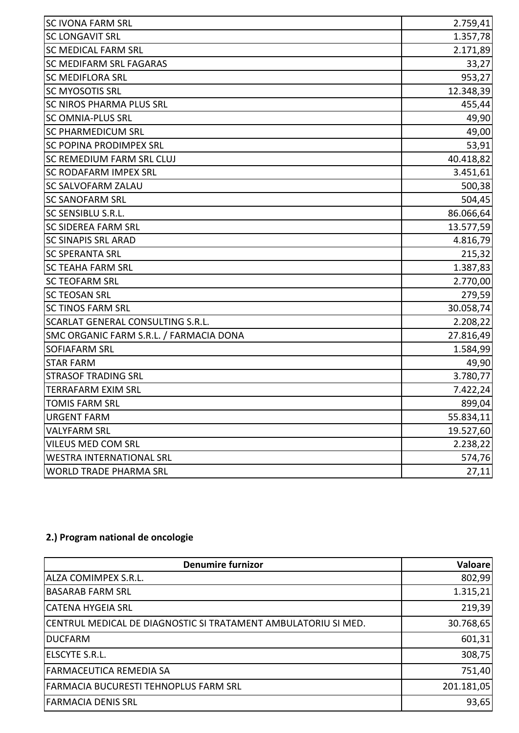| <b>SC IVONA FARM SRL</b>                | 2.759,41  |
|-----------------------------------------|-----------|
| <b>SC LONGAVIT SRL</b>                  | 1.357,78  |
| <b>SC MEDICAL FARM SRL</b>              | 2.171,89  |
| SC MEDIFARM SRL FAGARAS                 | 33,27     |
| <b>SC MEDIFLORA SRL</b>                 | 953,27    |
| <b>SC MYOSOTIS SRL</b>                  | 12.348,39 |
| <b>SC NIROS PHARMA PLUS SRL</b>         | 455,44    |
| <b>SC OMNIA-PLUS SRL</b>                | 49,90     |
| <b>SC PHARMEDICUM SRL</b>               | 49,00     |
| SC POPINA PRODIMPEX SRL                 | 53,91     |
| SC REMEDIUM FARM SRL CLUJ               | 40.418,82 |
| <b>SC RODAFARM IMPEX SRL</b>            | 3.451,61  |
| <b>SC SALVOFARM ZALAU</b>               | 500,38    |
| <b>SC SANOFARM SRL</b>                  | 504,45    |
| SC SENSIBLU S.R.L.                      | 86.066,64 |
| <b>SC SIDEREA FARM SRL</b>              | 13.577,59 |
| <b>SC SINAPIS SRL ARAD</b>              | 4.816,79  |
| <b>SC SPERANTA SRL</b>                  | 215,32    |
| <b>SC TEAHA FARM SRL</b>                | 1.387,83  |
| <b>SC TEOFARM SRL</b>                   | 2.770,00  |
| <b>SC TEOSAN SRL</b>                    | 279,59    |
| <b>SC TINOS FARM SRL</b>                | 30.058,74 |
| SCARLAT GENERAL CONSULTING S.R.L.       | 2.208,22  |
| SMC ORGANIC FARM S.R.L. / FARMACIA DONA | 27.816,49 |
| <b>SOFIAFARM SRL</b>                    | 1.584,99  |
| <b>STAR FARM</b>                        | 49,90     |
| <b>STRASOF TRADING SRL</b>              | 3.780,77  |
| <b>TERRAFARM EXIM SRL</b>               | 7.422,24  |
| <b>TOMIS FARM SRL</b>                   | 899,04    |
| <b>URGENT FARM</b>                      | 55.834,11 |
| <b>VALYFARM SRL</b>                     | 19.527,60 |
| VILEUS MED COM SRL                      | 2.238,22  |
| <b>WESTRA INTERNATIONAL SRL</b>         | 574,76    |
| <b>WORLD TRADE PHARMA SRL</b>           | 27,11     |

## **2.) Program national de oncologie**

| <b>Denumire furnizor</b>                                       | Valoare    |
|----------------------------------------------------------------|------------|
| ALZA COMIMPEX S.R.L.                                           | 802,99     |
| <b>BASARAB FARM SRL</b>                                        | 1.315,21   |
| <b>CATENA HYGEIA SRL</b>                                       | 219,39     |
| CENTRUL MEDICAL DE DIAGNOSTIC SI TRATAMENT AMBULATORIU SI MED. | 30.768,65  |
| <b>DUCFARM</b>                                                 | 601,31     |
| ELSCYTE S.R.L.                                                 | 308,75     |
| <b>FARMACEUTICA REMEDIA SA</b>                                 | 751,40     |
| FARMACIA BUCURESTI TEHNOPLUS FARM SRL                          | 201.181,05 |
| <b>FARMACIA DENIS SRL</b>                                      | 93,65      |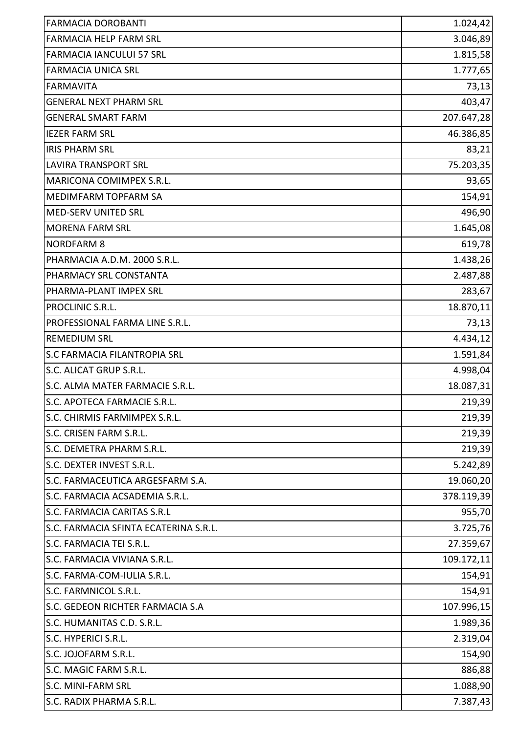| <b>FARMACIA DOROBANTI</b>             | 1.024,42   |
|---------------------------------------|------------|
| <b>FARMACIA HELP FARM SRL</b>         | 3.046,89   |
| <b>FARMACIA IANCULUI 57 SRL</b>       | 1.815,58   |
| <b>FARMACIA UNICA SRL</b>             | 1.777,65   |
| <b>FARMAVITA</b>                      | 73,13      |
| <b>GENERAL NEXT PHARM SRL</b>         | 403,47     |
| <b>GENERAL SMART FARM</b>             | 207.647,28 |
| <b>IEZER FARM SRL</b>                 | 46.386,85  |
| <b>IRIS PHARM SRL</b>                 | 83,21      |
| <b>LAVIRA TRANSPORT SRL</b>           | 75.203,35  |
| MARICONA COMIMPEX S.R.L.              | 93,65      |
| MEDIMFARM TOPFARM SA                  | 154,91     |
| <b>MED-SERV UNITED SRL</b>            | 496,90     |
| <b>MORENA FARM SRL</b>                | 1.645,08   |
| <b>NORDFARM 8</b>                     | 619,78     |
| PHARMACIA A.D.M. 2000 S.R.L.          | 1.438,26   |
| PHARMACY SRL CONSTANTA                | 2.487,88   |
| PHARMA-PLANT IMPEX SRL                | 283,67     |
| PROCLINIC S.R.L.                      | 18.870,11  |
| PROFESSIONAL FARMA LINE S.R.L.        | 73,13      |
| <b>REMEDIUM SRL</b>                   | 4.434,12   |
| <b>S.C FARMACIA FILANTROPIA SRL</b>   | 1.591,84   |
| S.C. ALICAT GRUP S.R.L.               | 4.998,04   |
| S.C. ALMA MATER FARMACIE S.R.L.       | 18.087,31  |
| S.C. APOTECA FARMACIE S.R.L.          | 219,39     |
| S.C. CHIRMIS FARMIMPEX S.R.L.         | 219,39     |
| S.C. CRISEN FARM S.R.L.               | 219,39     |
| S.C. DEMETRA PHARM S.R.L.             | 219,39     |
| S.C. DEXTER INVEST S.R.L.             | 5.242,89   |
| S.C. FARMACEUTICA ARGESFARM S.A.      | 19.060,20  |
| S.C. FARMACIA ACSADEMIA S.R.L.        | 378.119,39 |
| <b>S.C. FARMACIA CARITAS S.R.L</b>    | 955,70     |
| S.C. FARMACIA SFINTA ECATERINA S.R.L. | 3.725,76   |
| S.C. FARMACIA TEI S.R.L.              | 27.359,67  |
| S.C. FARMACIA VIVIANA S.R.L.          | 109.172,11 |
| S.C. FARMA-COM-IULIA S.R.L.           | 154,91     |
| S.C. FARMNICOL S.R.L.                 | 154,91     |
| S.C. GEDEON RICHTER FARMACIA S.A      | 107.996,15 |
| S.C. HUMANITAS C.D. S.R.L.            | 1.989,36   |
| S.C. HYPERICI S.R.L.                  | 2.319,04   |
| S.C. JOJOFARM S.R.L.                  | 154,90     |
| S.C. MAGIC FARM S.R.L.                | 886,88     |
| S.C. MINI-FARM SRL                    | 1.088,90   |
| S.C. RADIX PHARMA S.R.L.              | 7.387,43   |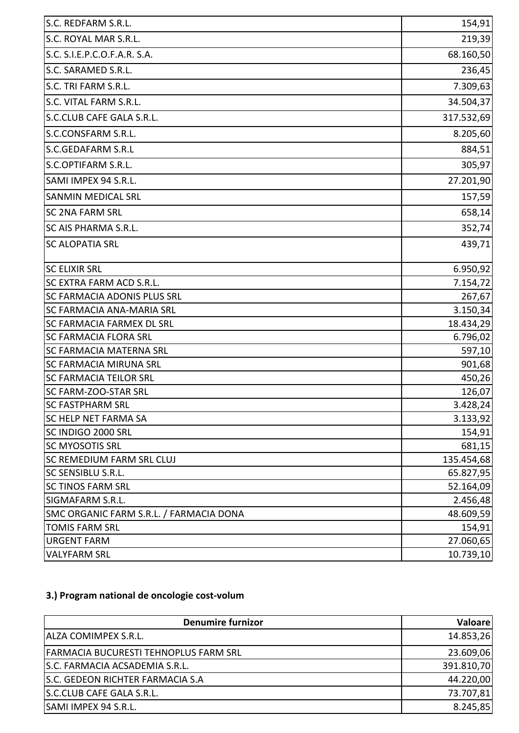| S.C. ROYAL MAR S.R.L.<br>S.C. S.I.E.P.C.O.F.A.R. S.A.<br>S.C. SARAMED S.R.L.<br>S.C. TRI FARM S.R.L.<br>S.C. VITAL FARM S.R.L.<br>S.C.CLUB CAFE GALA S.R.L.<br>S.C.CONSFARM S.R.L.<br>S.C.GEDAFARM S.R.L<br>S.C.OPTIFARM S.R.L.<br>SAMI IMPEX 94 S.R.L.<br><b>SANMIN MEDICAL SRL</b><br><b>SC 2NA FARM SRL</b><br><b>SC AIS PHARMA S.R.L.</b><br><b>SC ALOPATIA SRL</b><br><b>SC ELIXIR SRL</b><br>6.950,92<br>SC EXTRA FARM ACD S.R.L.<br>SC FARMACIA ADONIS PLUS SRL<br><b>SC FARMACIA ANA-MARIA SRL</b><br><b>SC FARMACIA FARMEX DL SRL</b><br><b>SC FARMACIA FLORA SRL</b><br><b>SC FARMACIA MATERNA SRL</b><br><b>SC FARMACIA MIRUNA SRL</b><br><b>SC FARMACIA TEILOR SRL</b><br><b>SC FARM-ZOO-STAR SRL</b><br><b>SC FASTPHARM SRL</b><br>3.428,24<br><b>SC HELP NET FARMA SA</b><br>SC INDIGO 2000 SRL<br><b>SC MYOSOTIS SRL</b><br><b>SC REMEDIUM FARM SRL CLUJ</b><br><b>SC SENSIBLU S.R.L.</b><br><b>SC TINOS FARM SRL</b><br>52.164,09<br>2.456,48<br>SIGMAFARM S.R.L.<br>SMC ORGANIC FARM S.R.L. / FARMACIA DONA<br><b>TOMIS FARM SRL</b><br><b>URGENT FARM</b><br><b>VALYFARM SRL</b> | S.C. REDFARM S.R.L. | 154,91     |
|----------------------------------------------------------------------------------------------------------------------------------------------------------------------------------------------------------------------------------------------------------------------------------------------------------------------------------------------------------------------------------------------------------------------------------------------------------------------------------------------------------------------------------------------------------------------------------------------------------------------------------------------------------------------------------------------------------------------------------------------------------------------------------------------------------------------------------------------------------------------------------------------------------------------------------------------------------------------------------------------------------------------------------------------------------------------------------------------------|---------------------|------------|
|                                                                                                                                                                                                                                                                                                                                                                                                                                                                                                                                                                                                                                                                                                                                                                                                                                                                                                                                                                                                                                                                                                    |                     | 219,39     |
|                                                                                                                                                                                                                                                                                                                                                                                                                                                                                                                                                                                                                                                                                                                                                                                                                                                                                                                                                                                                                                                                                                    |                     | 68.160,50  |
|                                                                                                                                                                                                                                                                                                                                                                                                                                                                                                                                                                                                                                                                                                                                                                                                                                                                                                                                                                                                                                                                                                    |                     | 236,45     |
|                                                                                                                                                                                                                                                                                                                                                                                                                                                                                                                                                                                                                                                                                                                                                                                                                                                                                                                                                                                                                                                                                                    |                     | 7.309,63   |
|                                                                                                                                                                                                                                                                                                                                                                                                                                                                                                                                                                                                                                                                                                                                                                                                                                                                                                                                                                                                                                                                                                    |                     | 34.504,37  |
|                                                                                                                                                                                                                                                                                                                                                                                                                                                                                                                                                                                                                                                                                                                                                                                                                                                                                                                                                                                                                                                                                                    |                     | 317.532,69 |
|                                                                                                                                                                                                                                                                                                                                                                                                                                                                                                                                                                                                                                                                                                                                                                                                                                                                                                                                                                                                                                                                                                    |                     | 8.205,60   |
|                                                                                                                                                                                                                                                                                                                                                                                                                                                                                                                                                                                                                                                                                                                                                                                                                                                                                                                                                                                                                                                                                                    |                     | 884,51     |
|                                                                                                                                                                                                                                                                                                                                                                                                                                                                                                                                                                                                                                                                                                                                                                                                                                                                                                                                                                                                                                                                                                    |                     | 305,97     |
|                                                                                                                                                                                                                                                                                                                                                                                                                                                                                                                                                                                                                                                                                                                                                                                                                                                                                                                                                                                                                                                                                                    |                     | 27.201,90  |
|                                                                                                                                                                                                                                                                                                                                                                                                                                                                                                                                                                                                                                                                                                                                                                                                                                                                                                                                                                                                                                                                                                    |                     | 157,59     |
|                                                                                                                                                                                                                                                                                                                                                                                                                                                                                                                                                                                                                                                                                                                                                                                                                                                                                                                                                                                                                                                                                                    |                     | 658,14     |
|                                                                                                                                                                                                                                                                                                                                                                                                                                                                                                                                                                                                                                                                                                                                                                                                                                                                                                                                                                                                                                                                                                    |                     | 352,74     |
|                                                                                                                                                                                                                                                                                                                                                                                                                                                                                                                                                                                                                                                                                                                                                                                                                                                                                                                                                                                                                                                                                                    |                     | 439,71     |
|                                                                                                                                                                                                                                                                                                                                                                                                                                                                                                                                                                                                                                                                                                                                                                                                                                                                                                                                                                                                                                                                                                    |                     |            |
|                                                                                                                                                                                                                                                                                                                                                                                                                                                                                                                                                                                                                                                                                                                                                                                                                                                                                                                                                                                                                                                                                                    |                     |            |
|                                                                                                                                                                                                                                                                                                                                                                                                                                                                                                                                                                                                                                                                                                                                                                                                                                                                                                                                                                                                                                                                                                    |                     | 7.154,72   |
|                                                                                                                                                                                                                                                                                                                                                                                                                                                                                                                                                                                                                                                                                                                                                                                                                                                                                                                                                                                                                                                                                                    |                     | 267,67     |
|                                                                                                                                                                                                                                                                                                                                                                                                                                                                                                                                                                                                                                                                                                                                                                                                                                                                                                                                                                                                                                                                                                    |                     | 3.150,34   |
|                                                                                                                                                                                                                                                                                                                                                                                                                                                                                                                                                                                                                                                                                                                                                                                                                                                                                                                                                                                                                                                                                                    |                     | 18.434,29  |
|                                                                                                                                                                                                                                                                                                                                                                                                                                                                                                                                                                                                                                                                                                                                                                                                                                                                                                                                                                                                                                                                                                    |                     | 6.796,02   |
|                                                                                                                                                                                                                                                                                                                                                                                                                                                                                                                                                                                                                                                                                                                                                                                                                                                                                                                                                                                                                                                                                                    |                     | 597,10     |
|                                                                                                                                                                                                                                                                                                                                                                                                                                                                                                                                                                                                                                                                                                                                                                                                                                                                                                                                                                                                                                                                                                    |                     | 901,68     |
|                                                                                                                                                                                                                                                                                                                                                                                                                                                                                                                                                                                                                                                                                                                                                                                                                                                                                                                                                                                                                                                                                                    |                     | 450,26     |
|                                                                                                                                                                                                                                                                                                                                                                                                                                                                                                                                                                                                                                                                                                                                                                                                                                                                                                                                                                                                                                                                                                    |                     | 126,07     |
|                                                                                                                                                                                                                                                                                                                                                                                                                                                                                                                                                                                                                                                                                                                                                                                                                                                                                                                                                                                                                                                                                                    |                     |            |
|                                                                                                                                                                                                                                                                                                                                                                                                                                                                                                                                                                                                                                                                                                                                                                                                                                                                                                                                                                                                                                                                                                    |                     | 3.133,92   |
|                                                                                                                                                                                                                                                                                                                                                                                                                                                                                                                                                                                                                                                                                                                                                                                                                                                                                                                                                                                                                                                                                                    |                     | 154,91     |
|                                                                                                                                                                                                                                                                                                                                                                                                                                                                                                                                                                                                                                                                                                                                                                                                                                                                                                                                                                                                                                                                                                    |                     | 681,15     |
|                                                                                                                                                                                                                                                                                                                                                                                                                                                                                                                                                                                                                                                                                                                                                                                                                                                                                                                                                                                                                                                                                                    |                     | 135.454,68 |
|                                                                                                                                                                                                                                                                                                                                                                                                                                                                                                                                                                                                                                                                                                                                                                                                                                                                                                                                                                                                                                                                                                    |                     | 65.827,95  |
|                                                                                                                                                                                                                                                                                                                                                                                                                                                                                                                                                                                                                                                                                                                                                                                                                                                                                                                                                                                                                                                                                                    |                     |            |
|                                                                                                                                                                                                                                                                                                                                                                                                                                                                                                                                                                                                                                                                                                                                                                                                                                                                                                                                                                                                                                                                                                    |                     |            |
|                                                                                                                                                                                                                                                                                                                                                                                                                                                                                                                                                                                                                                                                                                                                                                                                                                                                                                                                                                                                                                                                                                    |                     | 48.609,59  |
|                                                                                                                                                                                                                                                                                                                                                                                                                                                                                                                                                                                                                                                                                                                                                                                                                                                                                                                                                                                                                                                                                                    |                     | 154,91     |
|                                                                                                                                                                                                                                                                                                                                                                                                                                                                                                                                                                                                                                                                                                                                                                                                                                                                                                                                                                                                                                                                                                    |                     | 27.060,65  |
|                                                                                                                                                                                                                                                                                                                                                                                                                                                                                                                                                                                                                                                                                                                                                                                                                                                                                                                                                                                                                                                                                                    |                     | 10.739,10  |

## **3.) Program national de oncologie cost-volum**

| <b>Denumire furnizor</b>                     | Valoare    |
|----------------------------------------------|------------|
| ALZA COMIMPEX S.R.L.                         | 14.853,26  |
| <b>FARMACIA BUCURESTI TEHNOPLUS FARM SRL</b> | 23.609,06  |
| S.C. FARMACIA ACSADEMIA S.R.L.               | 391.810,70 |
| S.C. GEDEON RICHTER FARMACIA S.A             | 44.220,00  |
| S.C.CLUB CAFE GALA S.R.L.                    | 73.707,81  |
| SAMI IMPEX 94 S.R.L.                         | 8.245,85   |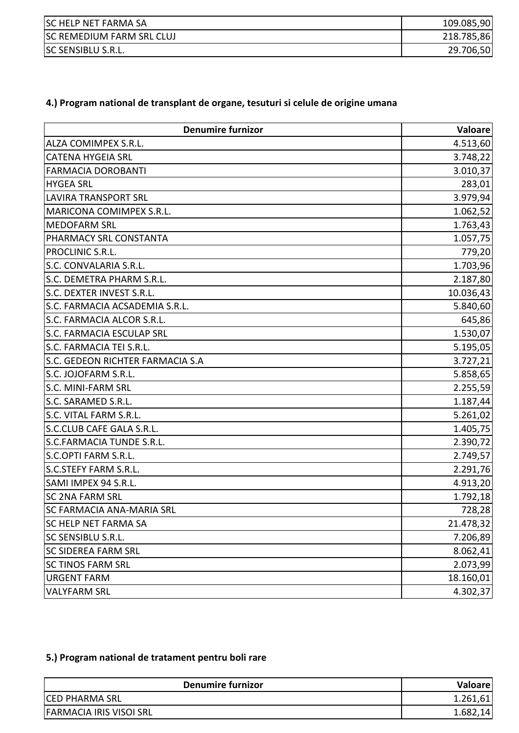| <b>SC HELP NET FARMA SA</b>      | 109.085,90 |
|----------------------------------|------------|
| <b>SC REMEDIUM FARM SRL CLUJ</b> | 218.785,86 |
| <b>SC SENSIBLU S.R.L.</b>        | 29.706,50  |

## **4.) Program national de transplant de organe, tesuturi si celule de origine umana**

| <b>Denumire furnizor</b>         | <b>Valoare</b> |
|----------------------------------|----------------|
| ALZA COMIMPEX S.R.L.             | 4.513,60       |
| <b>CATENA HYGEIA SRL</b>         | 3.748,22       |
| <b>FARMACIA DOROBANTI</b>        | 3.010,37       |
| <b>HYGEA SRL</b>                 | 283,01         |
| <b>LAVIRA TRANSPORT SRL</b>      | 3.979,94       |
| MARICONA COMIMPEX S.R.L.         | 1.062,52       |
| <b>MEDOFARM SRL</b>              | 1.763,43       |
| PHARMACY SRL CONSTANTA           | 1.057,75       |
| PROCLINIC S.R.L.                 | 779,20         |
| S.C. CONVALARIA S.R.L.           | 1.703,96       |
| S.C. DEMETRA PHARM S.R.L.        | 2.187,80       |
| S.C. DEXTER INVEST S.R.L.        | 10.036,43      |
| S.C. FARMACIA ACSADEMIA S.R.L.   | 5.840,60       |
| S.C. FARMACIA ALCOR S.R.L.       | 645,86         |
| S.C. FARMACIA ESCULAP SRL        | 1.530,07       |
| S.C. FARMACIA TEI S.R.L.         | 5.195,05       |
| S.C. GEDEON RICHTER FARMACIA S.A | 3.727,21       |
| S.C. JOJOFARM S.R.L.             | 5.858,65       |
| S.C. MINI-FARM SRL               | 2.255,59       |
| S.C. SARAMED S.R.L.              | 1.187,44       |
| S.C. VITAL FARM S.R.L.           | 5.261,02       |
| S.C.CLUB CAFE GALA S.R.L.        | 1.405,75       |
| S.C.FARMACIA TUNDE S.R.L.        | 2.390,72       |
| S.C.OPTI FARM S.R.L.             | 2.749,57       |
| S.C.STEFY FARM S.R.L.            | 2.291,76       |
| SAMI IMPEX 94 S.R.L.             | 4.913,20       |
| <b>SC 2NA FARM SRL</b>           | 1.792,18       |
| <b>SC FARMACIA ANA-MARIA SRL</b> | 728,28         |
| <b>SC HELP NET FARMA SA</b>      | 21.478,32      |
| SC SENSIBLU S.R.L.               | 7.206,89       |
| <b>SC SIDEREA FARM SRL</b>       | 8.062,41       |
| <b>SC TINOS FARM SRL</b>         | 2.073,99       |
| <b>URGENT FARM</b>               | 18.160,01      |
| <b>VALYFARM SRL</b>              | 4.302,37       |

## **5.) Program national de tratament pentru boli rare**

| <b>Denumire furnizor</b>       | Valoare  |
|--------------------------------|----------|
| <b>ICED PHARMA SRL</b>         | 1.261,61 |
| <b>FARMACIA IRIS VISOI SRL</b> | 1.682    |